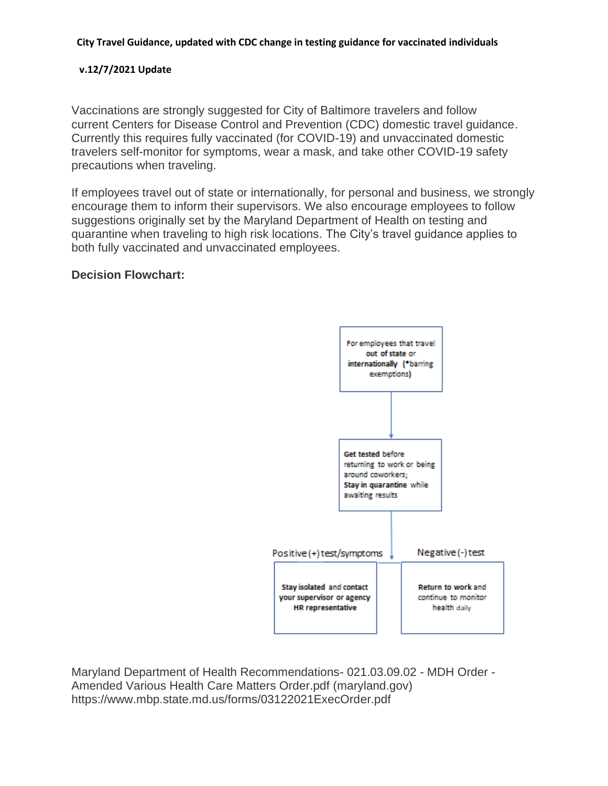#### **City Travel Guidance, updated with CDC change in testing guidance for vaccinated individuals**

#### **v.12/7/2021 Update**

Vaccinations are strongly suggested for City of Baltimore travelers and follow current [Centers for Disease Control and Prevention \(CDC\) domestic travel guidance.](https://www.cdc.gov/coronavirus/2019-ncov/travelers/travel-during-covid19.html) Currently this requires fully vaccinated (for COVID-19) and unvaccinated domestic travelers self-monitor for symptoms, wear a mask, and take other COVID-19 safety precautions when traveling.

If employees travel out of state or internationally, for personal and business, we strongly encourage them to inform their supervisors. We also encourage employees to follow suggestions originally set by the Maryland Department of Health on testing and quarantine when traveling to high risk locations. The City's travel guidance applies to both fully vaccinated and unvaccinated employees.

# **Decision Flowchart:**



Maryland Department of Health Recommendations- 021.03.09.02 - MDH Order - Amended Various Health Care Matters Order.pdf [\(maryland.gov\)](https://gcc02.safelinks.protection.outlook.com/?url=https%3A%2F%2Flinkprotect.cudasvc.com%2Furl%3Fa%3Dhttps%253a%252f%252fmaryland.gov%26c%3DE%2C1%2CubtP34Zi9cD_b21R8n88nItjapJQdyG5-8M0F8orMBw-9tudy9I7mptdaaOe3oJ1OHZgcELx3pDSjcyCsuLs_Ar2TNn60adUR2UxSrbW7A%2C%2C%26typo%3D1%26ancr_add%3D1&data=04%7C01%7CSebastiana.Gianci%40baltimorecity.gov%7Cecc448b913dc422425bb08d93d6677d4%7C312cb126c6ae4fc2800d318e679ce6c7%7C0%7C0%7C637608332764603382%7CUnknown%7CTWFpbGZsb3d8eyJWIjoiMC4wLjAwMDAiLCJQIjoiV2luMzIiLCJBTiI6Ik1haWwiLCJXVCI6Mn0%3D%7C1000&sdata=zMJlUUpKKC%2FgIB8fxPZmKWEBpUGhWsuSHiP3CKd1A7A%3D&reserved=0) [https://www.mbp.state.md.us/forms/03122021ExecOrder.pdf](https://gcc02.safelinks.protection.outlook.com/?url=https%3A%2F%2Fwww.mbp.state.md.us%2Fforms%2F03122021ExecOrder.pdf&data=04%7C01%7CSebastiana.Gianci%40baltimorecity.gov%7Cecc448b913dc422425bb08d93d6677d4%7C312cb126c6ae4fc2800d318e679ce6c7%7C0%7C0%7C637608332764603382%7CUnknown%7CTWFpbGZsb3d8eyJWIjoiMC4wLjAwMDAiLCJQIjoiV2luMzIiLCJBTiI6Ik1haWwiLCJXVCI6Mn0%3D%7C1000&sdata=rVkX72yzvmZJyRDnmLz8kawsI6YN8XKYnaFXNtRjYyM%3D&reserved=0)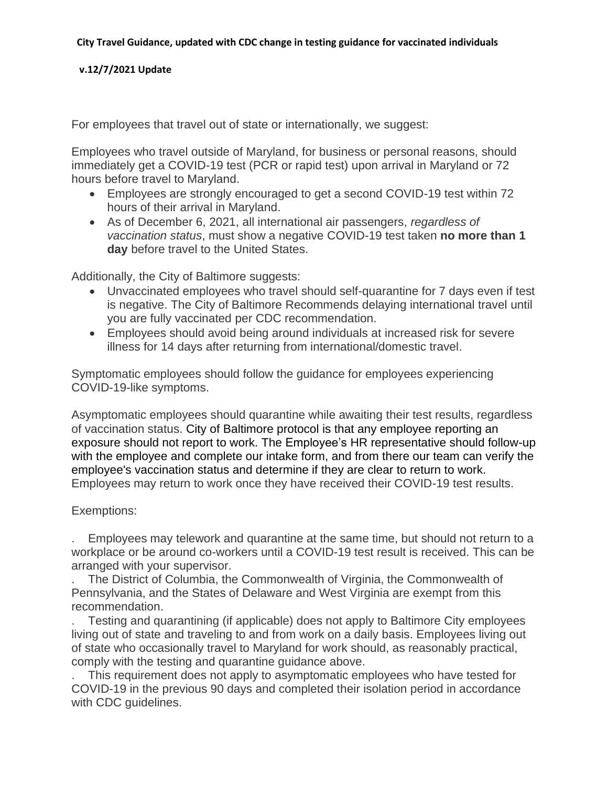### **v.12/7/2021 Update**

For employees that travel out of state or internationally, we suggest:

Employees who travel outside of Maryland, for business or personal reasons, should immediately get a COVID-19 test (PCR or rapid test) upon arrival in Maryland or 72 hours before travel to Maryland.

- Employees are strongly encouraged to get a second COVID-19 test within 72 hours of their arrival in Maryland.
- As of December 6, 2021, all international air passengers, *regardless of vaccination status*, must show a negative COVID-19 test taken **no more than 1 day** before travel to the United States.

Additionally, the City of Baltimore suggests:

- Unvaccinated employees who travel should self-quarantine for 7 days even if test is negative. The City of Baltimore Recommends delaying [international travel](https://www.cdc.gov/coronavirus/2019-ncov/travelers/international-travel-during-covid19.html) until you are fully vaccinated per CDC recommendation.
- Employees should avoid being around individuals at increased risk for severe illness for 14 days after returning from international/domestic travel.

Symptomatic employees should follow the guidance for employees experiencing COVID-19-like symptoms.

Asymptomatic employees should quarantine while awaiting their test results, regardless of vaccination status. City of Baltimore protocol is that any employee reporting an exposure should not report to work. The Employee's HR representative should follow-up with the employee and complete our intake form, and from there our team can verify the employee's vaccination status and determine if they are clear to return to work. Employees may return to work once they have received their COVID-19 test results.

## Exemptions:

. Employees may telework and quarantine at the same time, but should not return to a workplace or be around co-workers until a COVID-19 test result is received. This can be arranged with your supervisor.

. The District of Columbia, the Commonwealth of Virginia, the Commonwealth of Pennsylvania, and the States of Delaware and West Virginia are exempt from this recommendation.

. Testing and quarantining (if applicable) does not apply to Baltimore City employees living out of state and traveling to and from work on a daily basis. Employees living out of state who occasionally travel to Maryland for work should, as reasonably practical, comply with the testing and quarantine guidance above.

. This requirement does not apply to asymptomatic employees who have tested for COVID-19 in the previous 90 days and completed their isolation period in accordance with CDC guidelines.